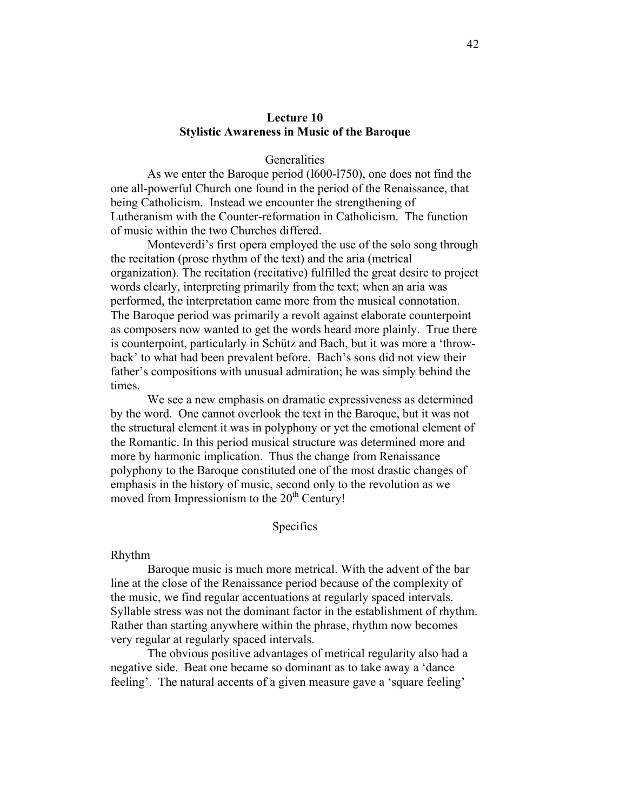# **Lecture 10 Stylistic Awareness in Music of the Baroque**

## **Generalities**

As we enter the Baroque period (l600-l750), one does not find the one all-powerful Church one found in the period of the Renaissance, that being Catholicism. Instead we encounter the strengthening of Lutheranism with the Counter-reformation in Catholicism. The function of music within the two Churches differed.

Monteverdi's first opera employed the use of the solo song through the recitation (prose rhythm of the text) and the aria (metrical organization). The recitation (recitative) fulfilled the great desire to project words clearly, interpreting primarily from the text; when an aria was performed, the interpretation came more from the musical connotation. The Baroque period was primarily a revolt against elaborate counterpoint as composers now wanted to get the words heard more plainly. True there is counterpoint, particularly in Schütz and Bach, but it was more a 'throwback' to what had been prevalent before. Bach's sons did not view their father's compositions with unusual admiration; he was simply behind the times.

We see a new emphasis on dramatic expressiveness as determined by the word. One cannot overlook the text in the Baroque, but it was not the structural element it was in polyphony or yet the emotional element of the Romantic. In this period musical structure was determined more and more by harmonic implication. Thus the change from Renaissance polyphony to the Baroque constituted one of the most drastic changes of emphasis in the history of music, second only to the revolution as we moved from Impressionism to the  $20<sup>th</sup>$  Century!

### Specifics

#### Rhythm

Baroque music is much more metrical. With the advent of the bar line at the close of the Renaissance period because of the complexity of the music, we find regular accentuations at regularly spaced intervals. Syllable stress was not the dominant factor in the establishment of rhythm. Rather than starting anywhere within the phrase, rhythm now becomes very regular at regularly spaced intervals.

The obvious positive advantages of metrical regularity also had a negative side. Beat one became so dominant as to take away a 'dance feeling'. The natural accents of a given measure gave a 'square feeling'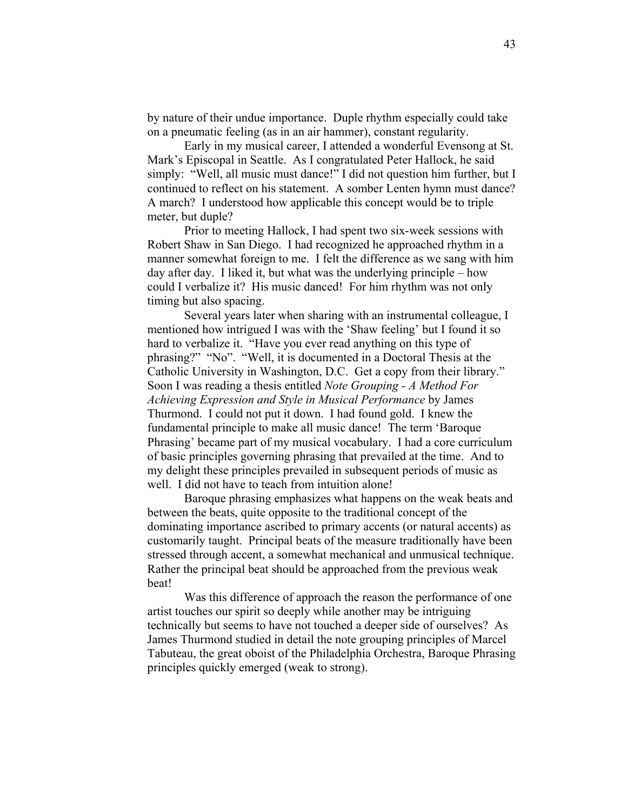by nature of their undue importance. Duple rhythm especially could take on a pneumatic feeling (as in an air hammer), constant regularity.

Early in my musical career, I attended a wonderful Evensong at St. Mark's Episcopal in Seattle. As I congratulated Peter Hallock, he said simply: "Well, all music must dance!" I did not question him further, but I continued to reflect on his statement. A somber Lenten hymn must dance? A march? I understood how applicable this concept would be to triple meter, but duple?

Prior to meeting Hallock, I had spent two six-week sessions with Robert Shaw in San Diego. I had recognized he approached rhythm in a manner somewhat foreign to me. I felt the difference as we sang with him day after day. I liked it, but what was the underlying principle – how could I verbalize it? His music danced! For him rhythm was not only timing but also spacing.

Several years later when sharing with an instrumental colleague, I mentioned how intrigued I was with the 'Shaw feeling' but I found it so hard to verbalize it. "Have you ever read anything on this type of phrasing?" "No". "Well, it is documented in a Doctoral Thesis at the Catholic University in Washington, D.C. Get a copy from their library." Soon I was reading a thesis entitled *Note Grouping - A Method For Achieving Expression and Style in Musical Performance* by James Thurmond. I could not put it down. I had found gold. I knew the fundamental principle to make all music dance! The term 'Baroque Phrasing' became part of my musical vocabulary. I had a core curriculum of basic principles governing phrasing that prevailed at the time. And to my delight these principles prevailed in subsequent periods of music as well. I did not have to teach from intuition alone!

Baroque phrasing emphasizes what happens on the weak beats and between the beats, quite opposite to the traditional concept of the dominating importance ascribed to primary accents (or natural accents) as customarily taught. Principal beats of the measure traditionally have been stressed through accent, a somewhat mechanical and unmusical technique. Rather the principal beat should be approached from the previous weak beat!

Was this difference of approach the reason the performance of one artist touches our spirit so deeply while another may be intriguing technically but seems to have not touched a deeper side of ourselves? As James Thurmond studied in detail the note grouping principles of Marcel Tabuteau, the great oboist of the Philadelphia Orchestra, Baroque Phrasing principles quickly emerged (weak to strong).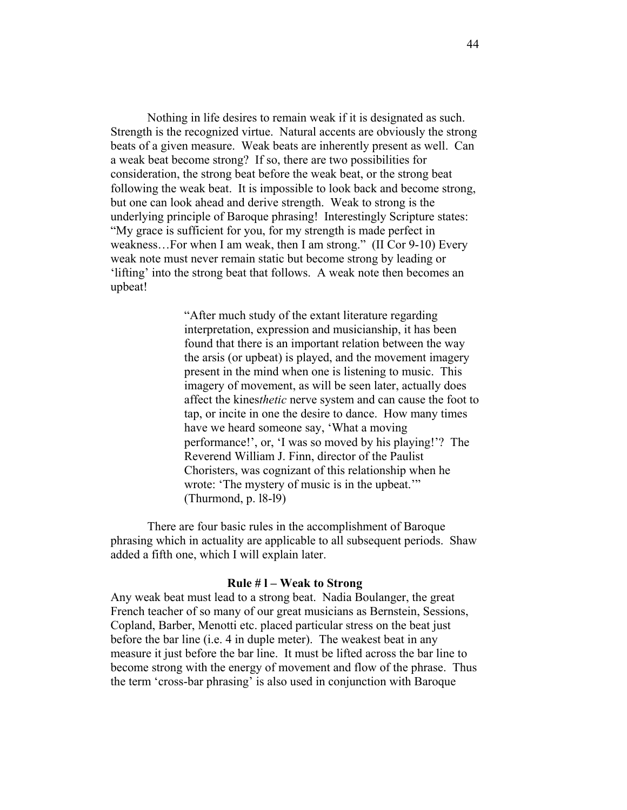Nothing in life desires to remain weak if it is designated as such. Strength is the recognized virtue. Natural accents are obviously the strong beats of a given measure. Weak beats are inherently present as well. Can a weak beat become strong? If so, there are two possibilities for consideration, the strong beat before the weak beat, or the strong beat following the weak beat. It is impossible to look back and become strong, but one can look ahead and derive strength. Weak to strong is the underlying principle of Baroque phrasing! Interestingly Scripture states: "My grace is sufficient for you, for my strength is made perfect in weakness…For when I am weak, then I am strong." (II Cor 9-10) Every weak note must never remain static but become strong by leading or 'lifting' into the strong beat that follows. A weak note then becomes an upbeat!

> "After much study of the extant literature regarding interpretation, expression and musicianship, it has been found that there is an important relation between the way the arsis (or upbeat) is played, and the movement imagery present in the mind when one is listening to music. This imagery of movement, as will be seen later, actually does affect the kines*thetic* nerve system and can cause the foot to tap, or incite in one the desire to dance. How many times have we heard someone say, 'What a moving performance!', or, 'I was so moved by his playing!'? The Reverend William J. Finn, director of the Paulist Choristers, was cognizant of this relationship when he wrote: 'The mystery of music is in the upbeat.'" (Thurmond, p. l8-l9)

There are four basic rules in the accomplishment of Baroque phrasing which in actuality are applicable to all subsequent periods. Shaw added a fifth one, which I will explain later.

#### **Rule # l – Weak to Strong**

Any weak beat must lead to a strong beat. Nadia Boulanger, the great French teacher of so many of our great musicians as Bernstein, Sessions, Copland, Barber, Menotti etc. placed particular stress on the beat just before the bar line (i.e. 4 in duple meter). The weakest beat in any measure it just before the bar line. It must be lifted across the bar line to become strong with the energy of movement and flow of the phrase. Thus the term 'cross-bar phrasing' is also used in conjunction with Baroque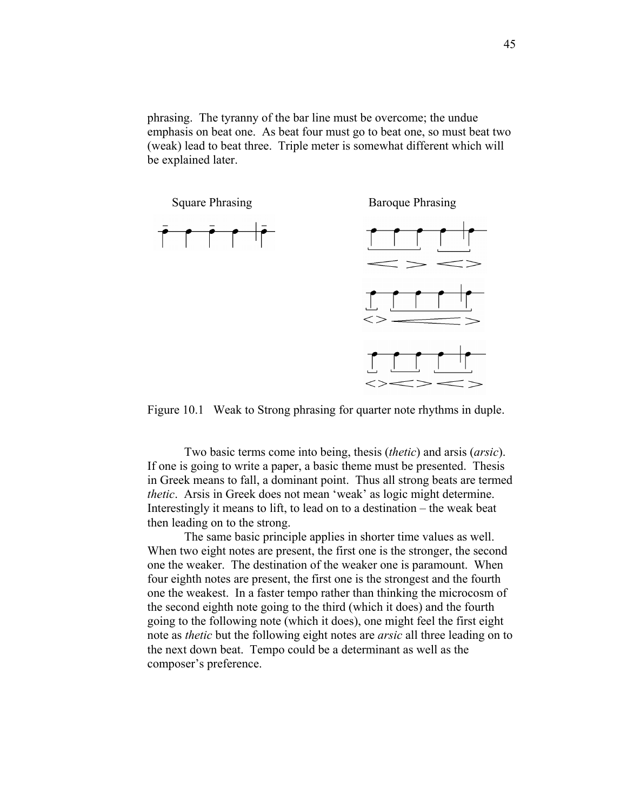phrasing. The tyranny of the bar line must be overcome; the undue emphasis on beat one. As beat four must go to beat one, so must beat two (weak) lead to beat three. Triple meter is somewhat different which will be explained later.



Figure 10.1 Weak to Strong phrasing for quarter note rhythms in duple.

Two basic terms come into being, thesis (*thetic*) and arsis (*arsic*). If one is going to write a paper, a basic theme must be presented. Thesis in Greek means to fall, a dominant point. Thus all strong beats are termed *thetic*. Arsis in Greek does not mean 'weak' as logic might determine. Interestingly it means to lift, to lead on to a destination – the weak beat then leading on to the strong.

The same basic principle applies in shorter time values as well. When two eight notes are present, the first one is the stronger, the second one the weaker. The destination of the weaker one is paramount. When four eighth notes are present, the first one is the strongest and the fourth one the weakest. In a faster tempo rather than thinking the microcosm of the second eighth note going to the third (which it does) and the fourth going to the following note (which it does), one might feel the first eight note as *thetic* but the following eight notes are *arsic* all three leading on to the next down beat. Tempo could be a determinant as well as the composer's preference.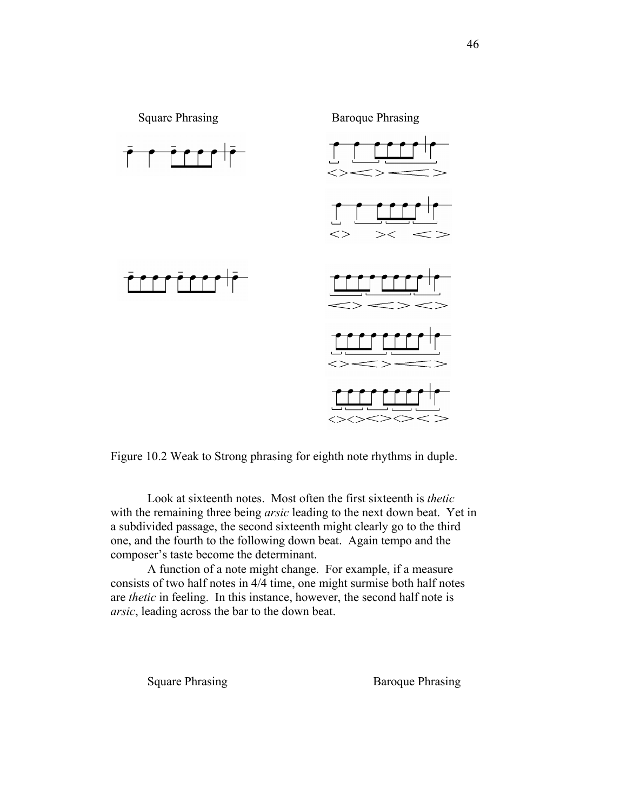

Figure 10.2 Weak to Strong phrasing for eighth note rhythms in duple.

Look at sixteenth notes. Most often the first sixteenth is *thetic* with the remaining three being *arsic* leading to the next down beat. Yet in a subdivided passage, the second sixteenth might clearly go to the third one, and the fourth to the following down beat. Again tempo and the composer's taste become the determinant.

A function of a note might change. For example, if a measure consists of two half notes in 4/4 time, one might surmise both half notes are *thetic* in feeling. In this instance, however, the second half note is *arsic*, leading across the bar to the down beat.

Square Phrasing Baroque Phrasing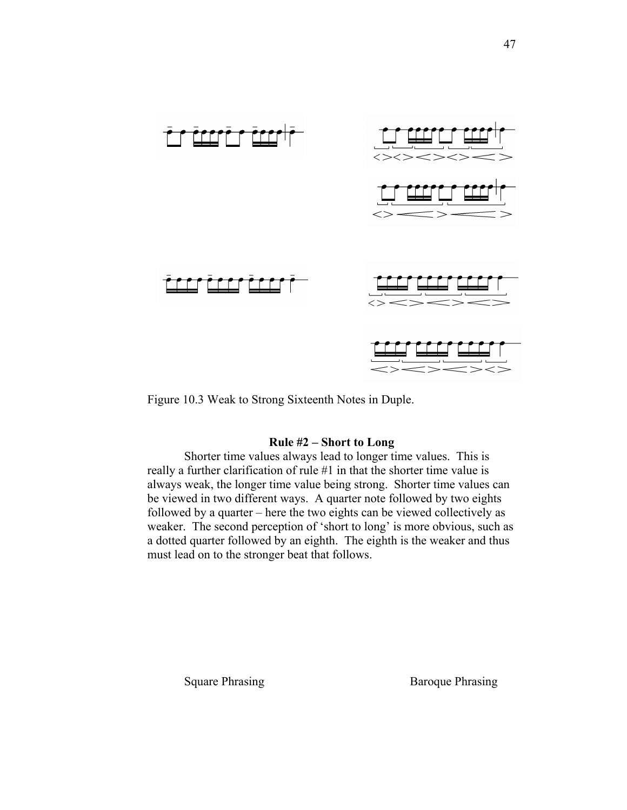

Figure 10.3 Weak to Strong Sixteenth Notes in Duple.

# **Rule #2 – Short to Long**

Shorter time values always lead to longer time values. This is really a further clarification of rule #1 in that the shorter time value is always weak, the longer time value being strong. Shorter time values can be viewed in two different ways. A quarter note followed by two eights followed by a quarter – here the two eights can be viewed collectively as weaker. The second perception of 'short to long' is more obvious, such as a dotted quarter followed by an eighth. The eighth is the weaker and thus must lead on to the stronger beat that follows.

Square Phrasing Baroque Phrasing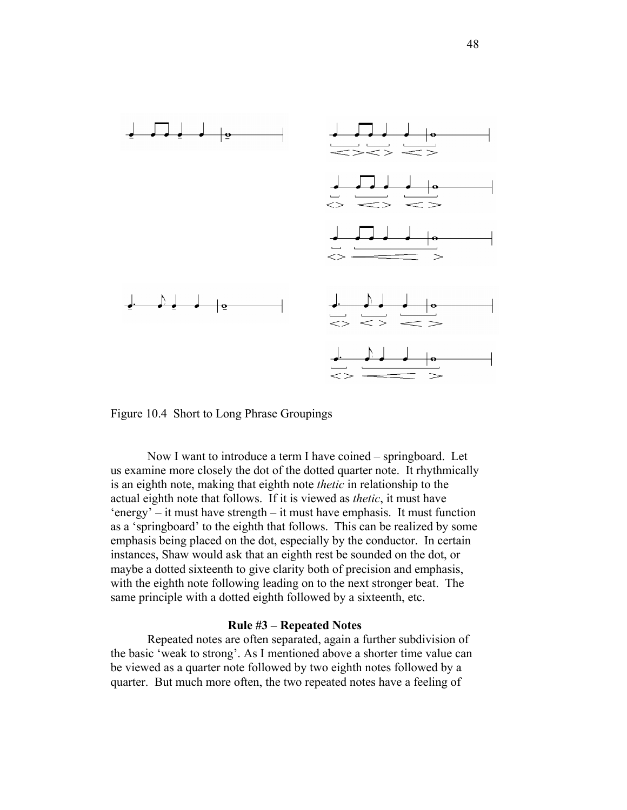

Figure 10.4 Short to Long Phrase Groupings

Now I want to introduce a term I have coined – springboard. Let us examine more closely the dot of the dotted quarter note. It rhythmically is an eighth note, making that eighth note *thetic* in relationship to the actual eighth note that follows. If it is viewed as *thetic*, it must have 'energy' – it must have strength – it must have emphasis. It must function as a 'springboard' to the eighth that follows. This can be realized by some emphasis being placed on the dot, especially by the conductor. In certain instances, Shaw would ask that an eighth rest be sounded on the dot, or maybe a dotted sixteenth to give clarity both of precision and emphasis, with the eighth note following leading on to the next stronger beat. The same principle with a dotted eighth followed by a sixteenth, etc.

### **Rule #3 – Repeated Notes**

Repeated notes are often separated, again a further subdivision of the basic 'weak to strong'. As I mentioned above a shorter time value can be viewed as a quarter note followed by two eighth notes followed by a quarter. But much more often, the two repeated notes have a feeling of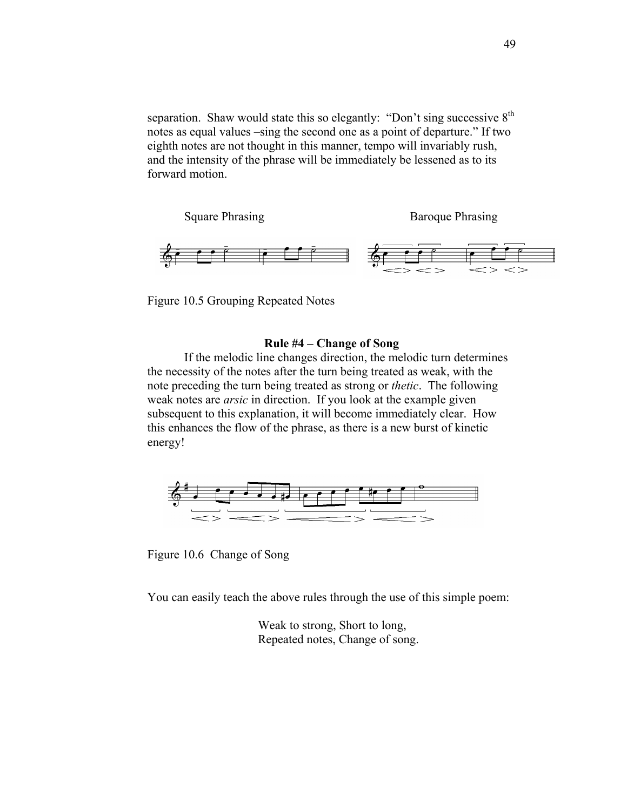separation. Shaw would state this so elegantly: "Don't sing successive  $8<sup>th</sup>$ notes as equal values –sing the second one as a point of departure." If two eighth notes are not thought in this manner, tempo will invariably rush, and the intensity of the phrase will be immediately be lessened as to its forward motion.

Square Phrasing Baroque Phrasing



Figure 10.5 Grouping Repeated Notes

## **Rule #4 – Change of Song**

If the melodic line changes direction, the melodic turn determines the necessity of the notes after the turn being treated as weak, with the note preceding the turn being treated as strong or *thetic*. The following weak notes are *arsic* in direction. If you look at the example given subsequent to this explanation, it will become immediately clear. How this enhances the flow of the phrase, as there is a new burst of kinetic energy!



Figure 10.6 Change of Song

You can easily teach the above rules through the use of this simple poem:

Weak to strong, Short to long, Repeated notes, Change of song.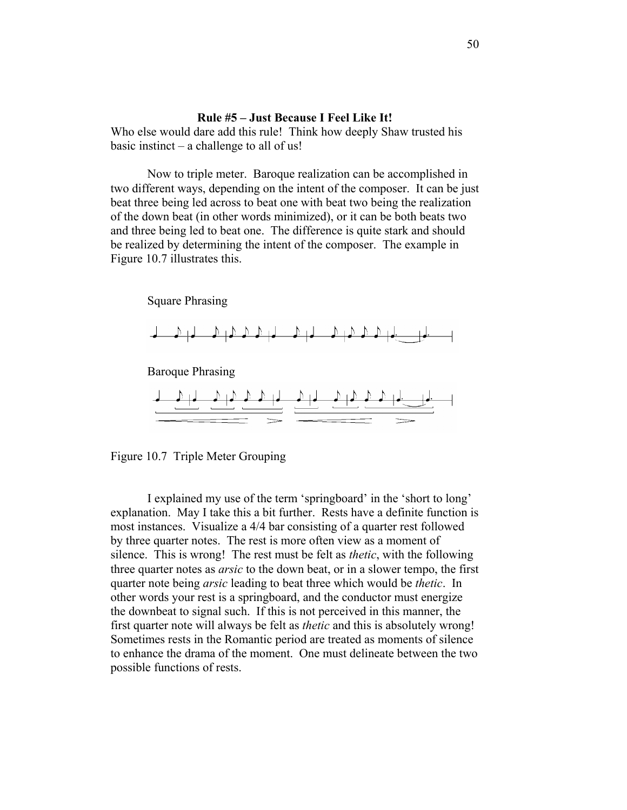# **Rule #5 – Just Because I Feel Like It!**

Who else would dare add this rule! Think how deeply Shaw trusted his basic instinct – a challenge to all of us!

Now to triple meter. Baroque realization can be accomplished in two different ways, depending on the intent of the composer. It can be just beat three being led across to beat one with beat two being the realization of the down beat (in other words minimized), or it can be both beats two and three being led to beat one. The difference is quite stark and should be realized by determining the intent of the composer. The example in Figure 10.7 illustrates this.

Square Phrasing



Baroque Phrasing



Figure 10.7 Triple Meter Grouping

I explained my use of the term 'springboard' in the 'short to long' explanation. May I take this a bit further. Rests have a definite function is most instances. Visualize a 4/4 bar consisting of a quarter rest followed by three quarter notes. The rest is more often view as a moment of silence. This is wrong! The rest must be felt as *thetic*, with the following three quarter notes as *arsic* to the down beat, or in a slower tempo, the first quarter note being *arsic* leading to beat three which would be *thetic*. In other words your rest is a springboard, and the conductor must energize the downbeat to signal such. If this is not perceived in this manner, the first quarter note will always be felt as *thetic* and this is absolutely wrong! Sometimes rests in the Romantic period are treated as moments of silence to enhance the drama of the moment. One must delineate between the two possible functions of rests.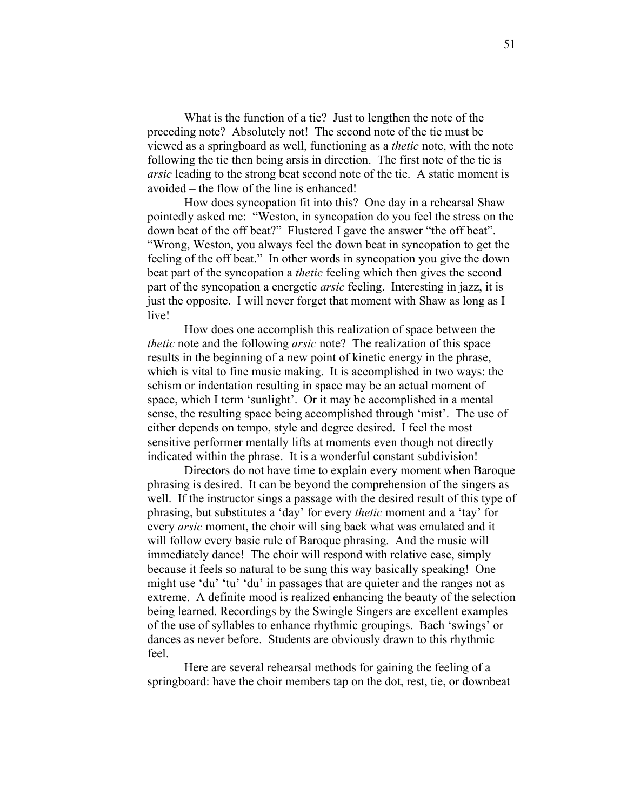What is the function of a tie? Just to lengthen the note of the preceding note? Absolutely not! The second note of the tie must be viewed as a springboard as well, functioning as a *thetic* note, with the note following the tie then being arsis in direction. The first note of the tie is *arsic* leading to the strong beat second note of the tie. A static moment is avoided – the flow of the line is enhanced!

How does syncopation fit into this? One day in a rehearsal Shaw pointedly asked me: "Weston, in syncopation do you feel the stress on the down beat of the off beat?" Flustered I gave the answer "the off beat". "Wrong, Weston, you always feel the down beat in syncopation to get the feeling of the off beat." In other words in syncopation you give the down beat part of the syncopation a *thetic* feeling which then gives the second part of the syncopation a energetic *arsic* feeling. Interesting in jazz, it is just the opposite. I will never forget that moment with Shaw as long as I live!

How does one accomplish this realization of space between the *thetic* note and the following *arsic* note? The realization of this space results in the beginning of a new point of kinetic energy in the phrase, which is vital to fine music making. It is accomplished in two ways: the schism or indentation resulting in space may be an actual moment of space, which I term 'sunlight'. Or it may be accomplished in a mental sense, the resulting space being accomplished through 'mist'. The use of either depends on tempo, style and degree desired. I feel the most sensitive performer mentally lifts at moments even though not directly indicated within the phrase. It is a wonderful constant subdivision!

Directors do not have time to explain every moment when Baroque phrasing is desired. It can be beyond the comprehension of the singers as well. If the instructor sings a passage with the desired result of this type of phrasing, but substitutes a 'day' for every *thetic* moment and a 'tay' for every *arsic* moment, the choir will sing back what was emulated and it will follow every basic rule of Baroque phrasing. And the music will immediately dance! The choir will respond with relative ease, simply because it feels so natural to be sung this way basically speaking! One might use 'du' 'tu' 'du' in passages that are quieter and the ranges not as extreme. A definite mood is realized enhancing the beauty of the selection being learned. Recordings by the Swingle Singers are excellent examples of the use of syllables to enhance rhythmic groupings. Bach 'swings' or dances as never before. Students are obviously drawn to this rhythmic feel.

Here are several rehearsal methods for gaining the feeling of a springboard: have the choir members tap on the dot, rest, tie, or downbeat